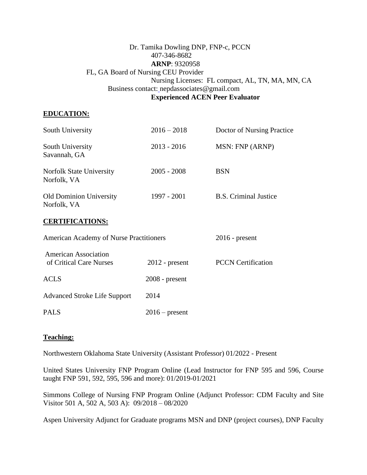# Dr. Tamika Dowling DNP, FNP-c, PCCN 407-346-8682 **ARNP**: 9320958 FL, GA Board of Nursing CEU Provider Nursing Licenses: FL compact, AL, TN, MA, MN, CA Business contact: nepdassociates@gmail.com **Experienced ACEN Peer Evaluator**

# **EDUCATION:**

| South University                              | $2016 - 2018$ | Doctor of Nursing Practice   |
|-----------------------------------------------|---------------|------------------------------|
| South University<br>Savannah, GA              | $2013 - 2016$ | MSN: FNP (ARNP)              |
| Norfolk State University<br>Norfolk, VA       | $2005 - 2008$ | BSN                          |
| <b>Old Dominion University</b><br>Norfolk, VA | 1997 - 2001   | <b>B.S.</b> Criminal Justice |
|                                               |               |                              |

# **CERTIFICATIONS:**

| <b>American Academy of Nurse Practitioners</b>         |                  | $2016$ - present          |  |
|--------------------------------------------------------|------------------|---------------------------|--|
| <b>American Association</b><br>of Critical Care Nurses | $2012$ - present | <b>PCCN</b> Certification |  |
| <b>ACLS</b>                                            | $2008$ - present |                           |  |
| <b>Advanced Stroke Life Support</b>                    | 2014             |                           |  |
| <b>PALS</b>                                            | $2016$ – present |                           |  |

# **Teaching:**

Northwestern Oklahoma State University (Assistant Professor) 01/2022 - Present

United States University FNP Program Online (Lead Instructor for FNP 595 and 596, Course taught FNP 591, 592, 595, 596 and more): 01/2019-01/2021

Simmons College of Nursing FNP Program Online (Adjunct Professor: CDM Faculty and Site Visitor 501 A, 502 A, 503 A): 09/2018 – 08/2020

Aspen University Adjunct for Graduate programs MSN and DNP (project courses), DNP Faculty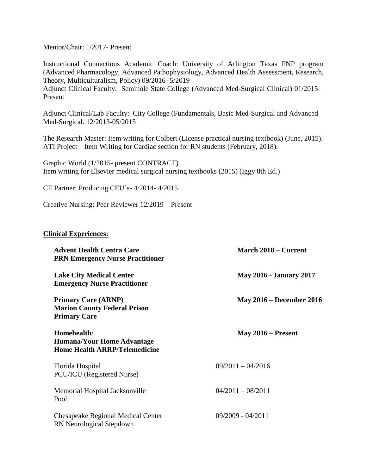Mentor/Chair: 1/2017- Present

Instructional Connections Academic Coach: University of Arlington Texas FNP program (Advanced Pharmacology, Advanced Pathophysiology, Advanced Health Assessment, Research, Theory, Multiculturalism, Policy) 09/2016- 5/2019 Adjunct Clinical Faculty: Seminole State College (Advanced Med-Surgical Clinical) 01/2015 – Present

Adjunct Clinical/Lab Faculty: City College (Fundamentals, Basic Med-Surgical and Advanced Med-Surgical. 12/2013-05/2015

The Research Master: Item writing for Colbert (License practical nursing textbook) (June, 2015). ATI Project – Item Writing for Cardiac section for RN students (February, 2018).

Graphic World (1/2015- present CONTRACT) Item writing for Elsevier medical surgical nursing textbooks (2015) (Iggy 8th Ed.)

CE Partner: Producing CEU's- 4/2014- 4/2015

Creative Nursing: Peer Reviewer 12/2019 – Present

#### **Clinical Experiences:**

| <b>Advent Health Centra Care</b><br><b>PRN Emergency Nurse Practitioner</b>              | March 2018 – Current            |
|------------------------------------------------------------------------------------------|---------------------------------|
| <b>Lake City Medical Center</b><br><b>Emergency Nurse Practitioner</b>                   | <b>May 2016 - January 2017</b>  |
| <b>Primary Care (ARNP)</b><br><b>Marion County Federal Prison</b><br><b>Primary Care</b> | <b>May 2016 – December 2016</b> |
| Homehealth/<br><b>Humana/Your Home Advantage</b><br><b>Home Health ARRP/Telemedicine</b> | May $2016$ – Present            |
| Florida Hospital<br>PCU/ICU (Registered Nurse)                                           | $09/2011 - 04/2016$             |
| Memorial Hospital Jacksonville<br>Pool                                                   | $04/2011 - 08/2011$             |
| Chesapeake Regional Medical Center<br>RN Neurological Stepdown                           | $09/2009 - 04/2011$             |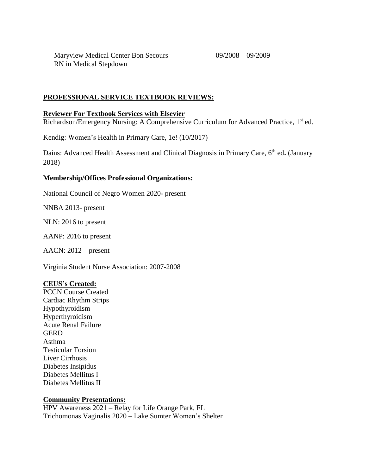Maryview Medical Center Bon Secours 09/2008 – 09/2009 RN in Medical Stepdown

## **PROFESSIONAL SERVICE TEXTBOOK REVIEWS:**

### **Reviewer For Textbook Services with Elsevier**

Richardson/Emergency Nursing: A Comprehensive Curriculum for Advanced Practice, 1<sup>st</sup> ed.

Kendig: Women's Health in Primary Care, 1e! (10/2017)

Dains: Advanced Health Assessment and Clinical Diagnosis in Primary Care, 6<sup>th</sup> ed. (January 2018)

#### **Membership/Offices Professional Organizations:**

National Council of Negro Women 2020- present

NNBA 2013- present

NLN: 2016 to present

AANP: 2016 to present

AACN: 2012 – present

Virginia Student Nurse Association: 2007-2008

#### **CEUS's Created:**

PCCN Course Created Cardiac Rhythm Strips Hypothyroidism Hyperthyroidism Acute Renal Failure **GERD** Asthma Testicular Torsion Liver Cirrhosis Diabetes Insipidus Diabetes Mellitus I Diabetes Mellitus II

#### **Community Presentations:**

HPV Awareness 2021 – Relay for Life Orange Park, FL Trichomonas Vaginalis 2020 – Lake Sumter Women's Shelter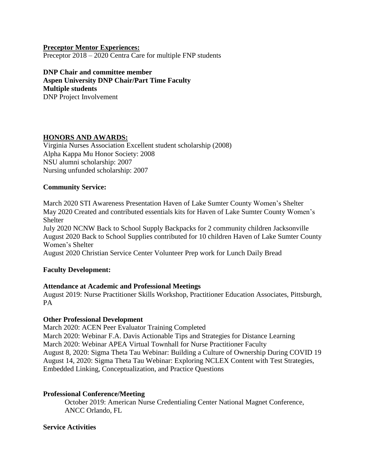### **Preceptor Mentor Experiences:**

Preceptor 2018 – 2020 Centra Care for multiple FNP students

**DNP Chair and committee member Aspen University DNP Chair/Part Time Faculty Multiple students** DNP Project Involvement

# **HONORS AND AWARDS:**

Virginia Nurses Association Excellent student scholarship (2008) Alpha Kappa Mu Honor Society: 2008 NSU alumni scholarship: 2007 Nursing unfunded scholarship: 2007

# **Community Service:**

March 2020 STI Awareness Presentation Haven of Lake Sumter County Women's Shelter May 2020 Created and contributed essentials kits for Haven of Lake Sumter County Women's Shelter

July 2020 NCNW Back to School Supply Backpacks for 2 community children Jacksonville August 2020 Back to School Supplies contributed for 10 children Haven of Lake Sumter County Women's Shelter

August 2020 Christian Service Center Volunteer Prep work for Lunch Daily Bread

# **Faculty Development:**

# **Attendance at Academic and Professional Meetings**

August 2019: Nurse Practitioner Skills Workshop, Practitioner Education Associates, Pittsburgh, PA

# **Other Professional Development**

March 2020: ACEN Peer Evaluator Training Completed March 2020: Webinar F.A. Davis Actionable Tips and Strategies for Distance Learning March 2020: Webinar APEA Virtual Townhall for Nurse Practitioner Faculty August 8, 2020: Sigma Theta Tau Webinar: Building a Culture of Ownership During COVID 19 August 14, 2020: Sigma Theta Tau Webinar: Exploring NCLEX Content with Test Strategies, Embedded Linking, Conceptualization, and Practice Questions

# **Professional Conference/Meeting**

October 2019: American Nurse Credentialing Center National Magnet Conference, ANCC Orlando, FL

# **Service Activities**